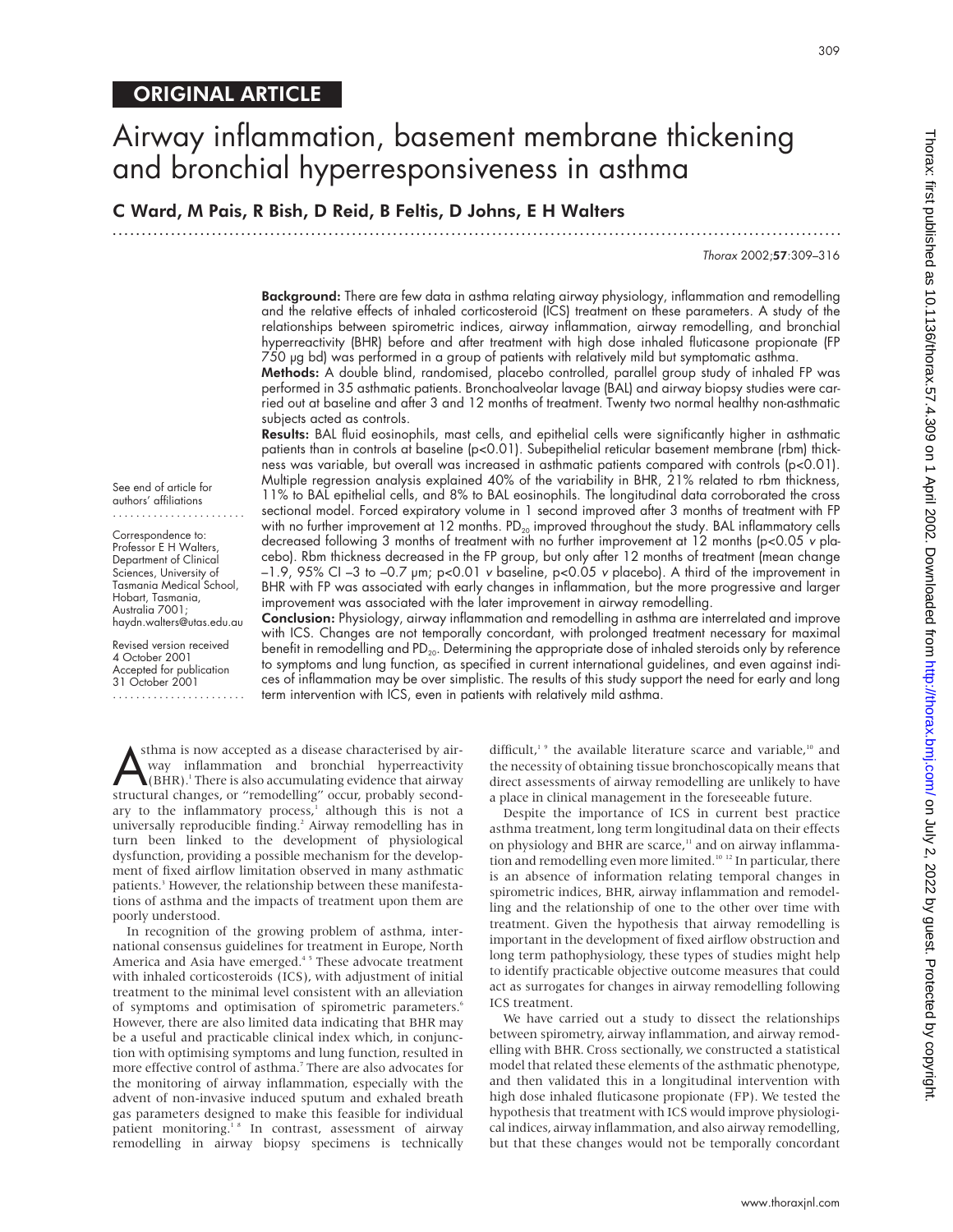See end of article for authors' affiliations ....................... Correspondence to: Professor E H Walters, Department of Clinical Sciences, University of Tasmania Medical School, Hobart, Tasmania, Australia 7001; haydn.walters@utas.edu.au Revised version received 4 October 2001 Accepted for publication 31 October 2001 .......................

# Airway inflammation, basement membrane thickening and bronchial hyperresponsiveness in asthma

C Ward, M Pais, R Bish, D Reid, B Feltis, D Johns, E H Walters

.............................................................................................................................

Thorax 2002;57:309–316

Background: There are few data in asthma relating airway physiology, inflammation and remodelling and the relative effects of inhaled corticosteroid (ICS) treatment on these parameters. A study of the relationships between spirometric indices, airway inflammation, airway remodelling, and bronchial hyperreactivity (BHR) before and after treatment with high dose inhaled fluticasone propionate (FP 750 µg bd) was performed in a group of patients with relatively mild but symptomatic asthma.

Methods: A double blind, randomised, placebo controlled, parallel group study of inhaled FP was performed in 35 asthmatic patients. Bronchoalveolar lavage (BAL) and airway biopsy studies were carried out at baseline and after 3 and 12 months of treatment. Twenty two normal healthy non-asthmatic subjects acted as controls.

Results: BAL fluid eosinophils, mast cells, and epithelial cells were significantly higher in asthmatic patients than in controls at baseline (p<0.01). Subepithelial reticular basement membrane (rbm) thickness was variable, but overall was increased in asthmatic patients compared with controls (p<0.01). Multiple regression analysis explained 40% of the variability in BHR, 21% related to rbm thickness, 11% to BAL epithelial cells, and 8% to BAL eosinophils. The longitudinal data corroborated the cross sectional model. Forced expiratory volume in 1 second improved after 3 months of treatment with FP with no further improvement at 12 months.  $PD_{20}$  improved throughout the study. BAL inflammatory cells decreased following 3 months of treatment with no further improvement at 12 months (p<0.05 <sup>v</sup> placebo). Rbm thickness decreased in the FP group, but only after 12 months of treatment (mean change –1.9, 95% CI –3 to –0.7 µm; p<0.01 <sup>v</sup> baseline, p<0.05 <sup>v</sup> placebo). A third of the improvement in BHR with FP was associated with early changes in inflammation, but the more progressive and larger improvement was associated with the later improvement in airway remodelling.

Conclusion: Physiology, airway inflammation and remodelling in asthma are interrelated and improve with ICS. Changes are not temporally concordant, with prolonged treatment necessary for maximal benefit in remodelling and PD $_{20}$ . Determining the appropriate dose of inhaled steroids only by reference to symptoms and lung function, as specified in current international guidelines, and even against indices of inflammation may be over simplistic. The results of this study support the need for early and long term intervention with ICS, even in patients with relatively mild asthma.

**A** sthma is now accepted as a disease characterised by air-<br>
way inflammation and bronchial hyperreactivity<br>
(BHR). There is also accumulating evidence that airway<br>
structural changes, or "remodelling" occur, probably sec sthma is now accepted as a disease characterised by airway inflammation and bronchial hyperreactivity (BHR).<sup>1</sup> There is also accumulating evidence that airway ary to the inflammatory process, $\frac{1}{1}$  although this is not a universally reproducible finding.<sup>2</sup> Airway remodelling has in turn been linked to the development of physiological dysfunction, providing a possible mechanism for the development of fixed airflow limitation observed in many asthmatic patients.<sup>3</sup> However, the relationship between these manifestations of asthma and the impacts of treatment upon them are poorly understood.

In recognition of the growing problem of asthma, international consensus guidelines for treatment in Europe, North America and Asia have emerged.<sup>45</sup> These advocate treatment with inhaled corticosteroids (ICS), with adjustment of initial treatment to the minimal level consistent with an alleviation of symptoms and optimisation of spirometric parameters.<sup>6</sup> However, there are also limited data indicating that BHR may be a useful and practicable clinical index which, in conjunction with optimising symptoms and lung function, resulted in more effective control of asthma.<sup>7</sup> There are also advocates for the monitoring of airway inflammation, especially with the advent of non-invasive induced sputum and exhaled breath gas parameters designed to make this feasible for individual patient monitoring.<sup>18</sup> In contrast, assessment of airway remodelling in airway biopsy specimens is technically

difficult,<sup>19</sup> the available literature scarce and variable,<sup>10</sup> and the necessity of obtaining tissue bronchoscopically means that direct assessments of airway remodelling are unlikely to have a place in clinical management in the foreseeable future.

Despite the importance of ICS in current best practice asthma treatment, long term longitudinal data on their effects on physiology and BHR are scarce,<sup>11</sup> and on airway inflammation and remodelling even more limited.<sup>10 12</sup> In particular, there is an absence of information relating temporal changes in spirometric indices, BHR, airway inflammation and remodelling and the relationship of one to the other over time with treatment. Given the hypothesis that airway remodelling is important in the development of fixed airflow obstruction and long term pathophysiology, these types of studies might help to identify practicable objective outcome measures that could act as surrogates for changes in airway remodelling following ICS treatment.

We have carried out a study to dissect the relationships between spirometry, airway inflammation, and airway remodelling with BHR. Cross sectionally, we constructed a statistical model that related these elements of the asthmatic phenotype, and then validated this in a longitudinal intervention with high dose inhaled fluticasone propionate (FP). We tested the hypothesis that treatment with ICS would improve physiological indices, airway inflammation, and also airway remodelling, but that these changes would not be temporally concordant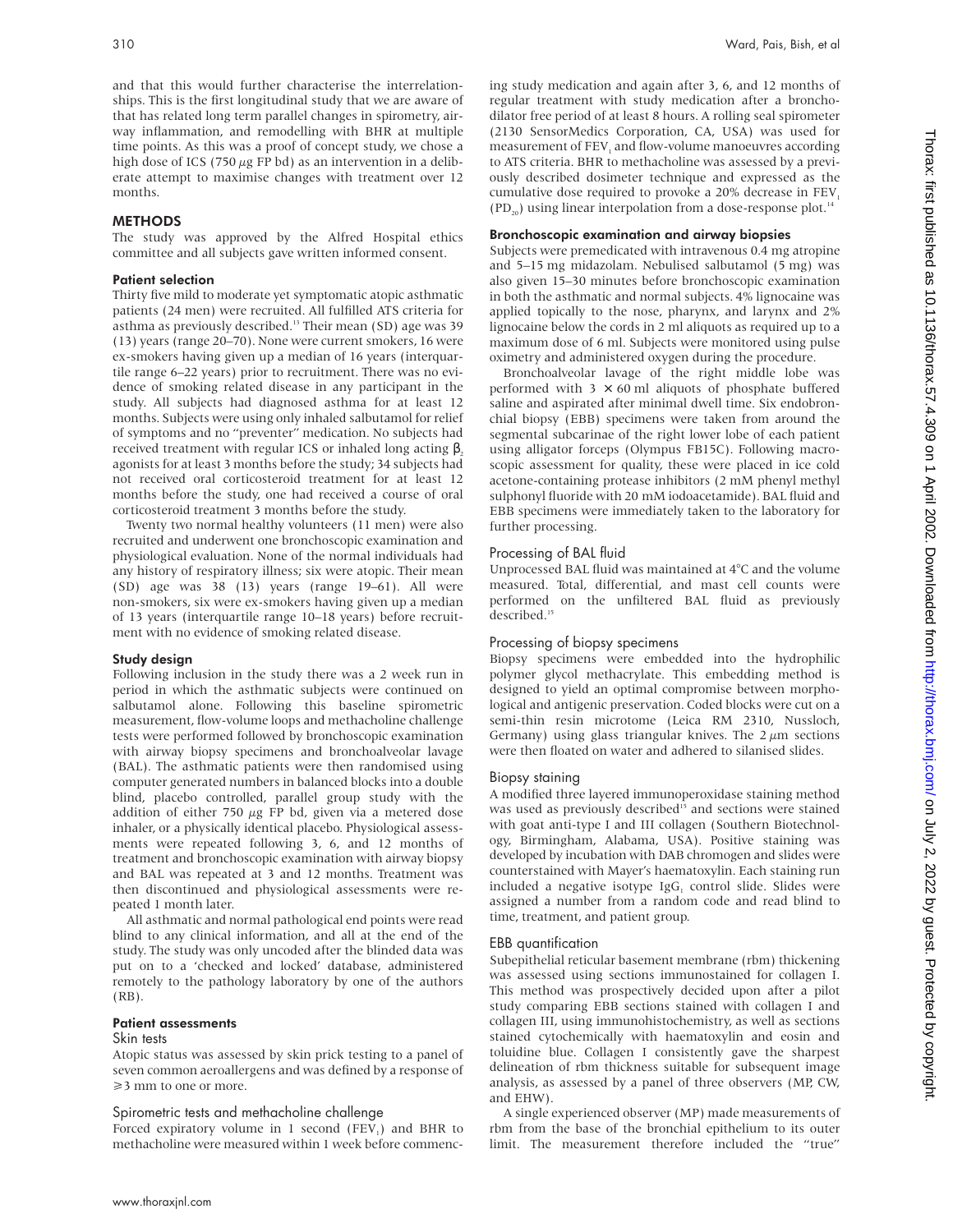and that this would further characterise the interrelationships. This is the first longitudinal study that we are aware of that has related long term parallel changes in spirometry, airway inflammation, and remodelling with BHR at multiple time points. As this was a proof of concept study, we chose a high dose of ICS (750  $\mu$ g FP bd) as an intervention in a deliberate attempt to maximise changes with treatment over 12 months.

# **METHODS**

The study was approved by the Alfred Hospital ethics committee and all subjects gave written informed consent.

## Patient selection

Thirty five mild to moderate yet symptomatic atopic asthmatic patients (24 men) were recruited. All fulfilled ATS criteria for asthma as previously described.<sup>13</sup> Their mean (SD) age was 39 (13) years (range 20–70). None were current smokers, 16 were ex-smokers having given up a median of 16 years (interquartile range 6–22 years) prior to recruitment. There was no evidence of smoking related disease in any participant in the study. All subjects had diagnosed asthma for at least 12 months. Subjects were using only inhaled salbutamol for relief of symptoms and no "preventer" medication. No subjects had received treatment with regular ICS or inhaled long acting  $β$ , agonists for at least 3 months before the study; 34 subjects had not received oral corticosteroid treatment for at least 12 months before the study, one had received a course of oral corticosteroid treatment 3 months before the study.

Twenty two normal healthy volunteers (11 men) were also recruited and underwent one bronchoscopic examination and physiological evaluation. None of the normal individuals had any history of respiratory illness; six were atopic. Their mean (SD) age was 38 (13) years (range 19–61). All were non-smokers, six were ex-smokers having given up a median of 13 years (interquartile range 10–18 years) before recruitment with no evidence of smoking related disease.

#### Study design

Following inclusion in the study there was a 2 week run in period in which the asthmatic subjects were continued on salbutamol alone. Following this baseline spirometric measurement, flow-volume loops and methacholine challenge tests were performed followed by bronchoscopic examination with airway biopsy specimens and bronchoalveolar lavage (BAL). The asthmatic patients were then randomised using computer generated numbers in balanced blocks into a double blind, placebo controlled, parallel group study with the addition of either 750  $\mu$ g FP bd, given via a metered dose inhaler, or a physically identical placebo. Physiological assessments were repeated following 3, 6, and 12 months of treatment and bronchoscopic examination with airway biopsy and BAL was repeated at 3 and 12 months. Treatment was then discontinued and physiological assessments were repeated 1 month later.

All asthmatic and normal pathological end points were read blind to any clinical information, and all at the end of the study. The study was only uncoded after the blinded data was put on to a 'checked and locked' database, administered remotely to the pathology laboratory by one of the authors  $(RB)$ .

## Patient assessments

#### Skin tests

Atopic status was assessed by skin prick testing to a panel of seven common aeroallergens and was defined by a response of >3 mm to one or more.

# Spirometric tests and methacholine challenge

Forced expiratory volume in 1 second (FEV<sub>1</sub>) and BHR to methacholine were measured within 1 week before commencing study medication and again after 3, 6, and 12 months of regular treatment with study medication after a bronchodilator free period of at least 8 hours. A rolling seal spirometer (2130 SensorMedics Corporation, CA, USA) was used for measurement of FEV<sub>1</sub> and flow-volume manoeuvres according to ATS criteria. BHR to methacholine was assessed by a previously described dosimeter technique and expressed as the cumulative dose required to provoke a 20% decrease in FEV.  $(PD_{20})$  using linear interpolation from a dose-response plot.<sup>14</sup>

#### Bronchoscopic examination and airway biopsies

Subjects were premedicated with intravenous 0.4 mg atropine and 5–15 mg midazolam. Nebulised salbutamol (5 mg) was also given 15–30 minutes before bronchoscopic examination in both the asthmatic and normal subjects. 4% lignocaine was applied topically to the nose, pharynx, and larynx and 2% lignocaine below the cords in 2 ml aliquots as required up to a maximum dose of 6 ml. Subjects were monitored using pulse oximetry and administered oxygen during the procedure.

Bronchoalveolar lavage of the right middle lobe was performed with  $3 \times 60$  ml aliquots of phosphate buffered saline and aspirated after minimal dwell time. Six endobronchial biopsy (EBB) specimens were taken from around the segmental subcarinae of the right lower lobe of each patient using alligator forceps (Olympus FB15C). Following macroscopic assessment for quality, these were placed in ice cold acetone-containing protease inhibitors (2 mM phenyl methyl sulphonyl fluoride with 20 mM iodoacetamide). BAL fluid and EBB specimens were immediately taken to the laboratory for further processing.

## Processing of BAL fluid

Unprocessed BAL fluid was maintained at 4°C and the volume measured. Total, differential, and mast cell counts were performed on the unfiltered BAL fluid as previously described.<sup>15</sup>

# Processing of biopsy specimens

Biopsy specimens were embedded into the hydrophilic polymer glycol methacrylate. This embedding method is designed to yield an optimal compromise between morphological and antigenic preservation. Coded blocks were cut on a semi-thin resin microtome (Leica RM 2310, Nussloch, Germany) using glass triangular knives. The  $2 \mu m$  sections were then floated on water and adhered to silanised slides.

#### Biopsy staining

A modified three layered immunoperoxidase staining method was used as previously described<sup>15</sup> and sections were stained with goat anti-type I and III collagen (Southern Biotechnology, Birmingham, Alabama, USA). Positive staining was developed by incubation with DAB chromogen and slides were counterstained with Mayer's haematoxylin. Each staining run included a negative isotype  $I gG<sub>1</sub>$  control slide. Slides were assigned a number from a random code and read blind to time, treatment, and patient group.

#### EBB quantification

Subepithelial reticular basement membrane (rbm) thickening was assessed using sections immunostained for collagen I. This method was prospectively decided upon after a pilot study comparing EBB sections stained with collagen I and collagen III, using immunohistochemistry, as well as sections stained cytochemically with haematoxylin and eosin and toluidine blue. Collagen I consistently gave the sharpest delineation of rbm thickness suitable for subsequent image analysis, as assessed by a panel of three observers (MP, CW, and EHW).

A single experienced observer (MP) made measurements of rbm from the base of the bronchial epithelium to its outer limit. The measurement therefore included the "true"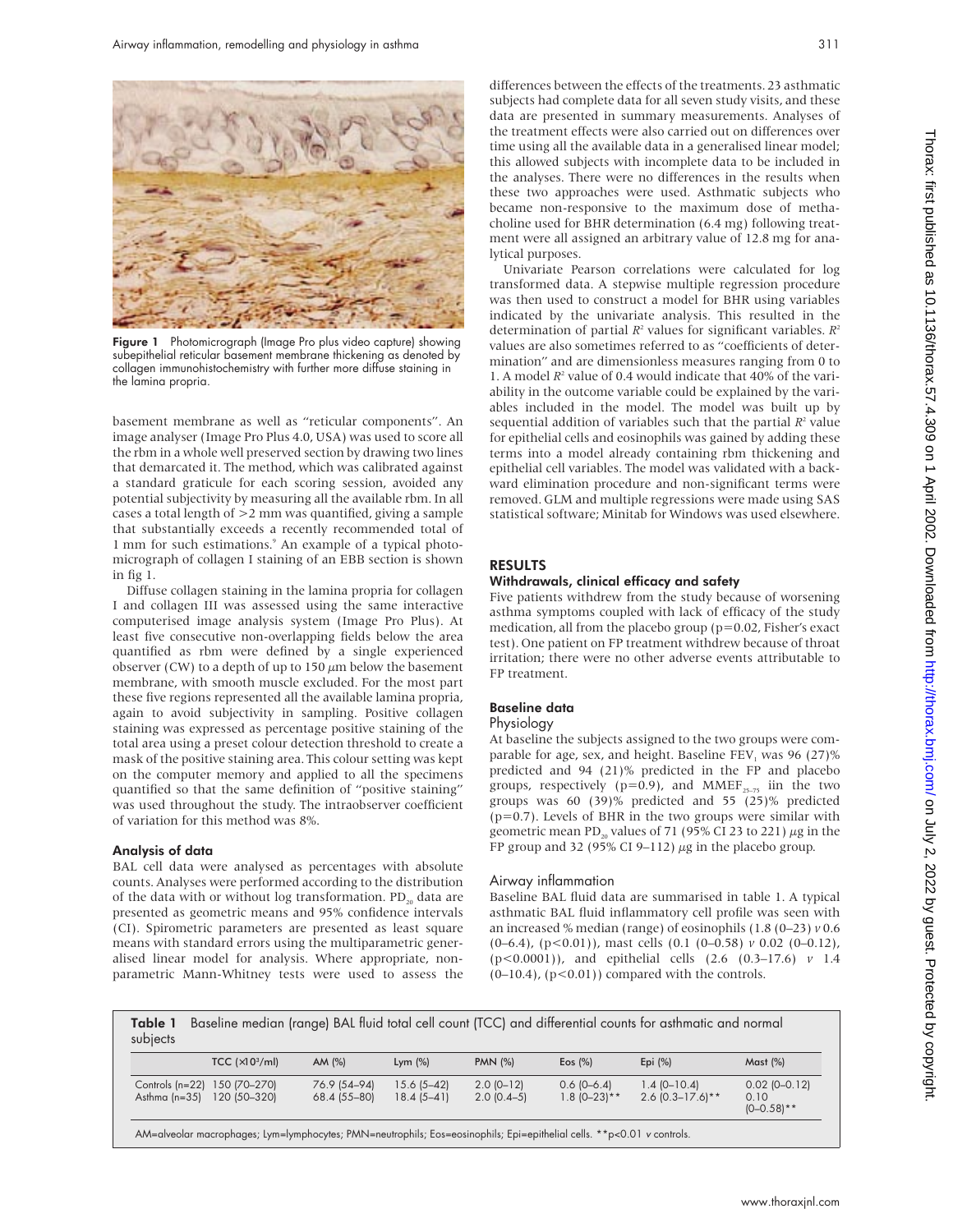

in fig 1. Diffuse collagen staining in the lamina propria for collagen I and collagen III was assessed using the same interactive computerised image analysis system (Image Pro Plus). At least five consecutive non-overlapping fields below the area quantified as rbm were defined by a single experienced observer (CW) to a depth of up to 150  $\mu$ m below the basement membrane, with smooth muscle excluded. For the most part these five regions represented all the available lamina propria, again to avoid subjectivity in sampling. Positive collagen staining was expressed as percentage positive staining of the total area using a preset colour detection threshold to create a mask of the positive staining area. This colour setting was kept on the computer memory and applied to all the specimens quantified so that the same definition of "positive staining" was used throughout the study. The intraobserver coefficient

# Analysis of data

the lamina propria.

of variation for this method was 8%.

BAL cell data were analysed as percentages with absolute counts. Analyses were performed according to the distribution of the data with or without log transformation.  $PD_{20}$  data are presented as geometric means and 95% confidence intervals (CI). Spirometric parameters are presented as least square means with standard errors using the multiparametric generalised linear model for analysis. Where appropriate, nonparametric Mann-Whitney tests were used to assess the differences between the effects of the treatments. 23 asthmatic subjects had complete data for all seven study visits, and these data are presented in summary measurements. Analyses of the treatment effects were also carried out on differences over time using all the available data in a generalised linear model; this allowed subjects with incomplete data to be included in the analyses. There were no differences in the results when these two approaches were used. Asthmatic subjects who became non-responsive to the maximum dose of methacholine used for BHR determination (6.4 mg) following treatment were all assigned an arbitrary value of 12.8 mg for ana-

Univariate Pearson correlations were calculated for log transformed data. A stepwise multiple regression procedure was then used to construct a model for BHR using variables indicated by the univariate analysis. This resulted in the determination of partial  $R^2$  values for significant variables.  $R^2$ values are also sometimes referred to as "coefficients of determination" and are dimensionless measures ranging from 0 to 1. A model *R*<sup>2</sup> value of 0.4 would indicate that 40% of the variability in the outcome variable could be explained by the variables included in the model. The model was built up by sequential addition of variables such that the partial  $R<sup>2</sup>$  value for epithelial cells and eosinophils was gained by adding these terms into a model already containing rbm thickening and epithelial cell variables. The model was validated with a backward elimination procedure and non-significant terms were removed. GLM and multiple regressions were made using SAS statistical software; Minitab for Windows was used elsewhere.

# Withdrawals, clinical efficacy and safety

Five patients withdrew from the study because of worsening asthma symptoms coupled with lack of efficacy of the study medication, all from the placebo group (p=0.02, Fisher's exact test). One patient on FP treatment withdrew because of throat irritation; there were no other adverse events attributable to FP treatment.

# Baseline data

# Physiology

At baseline the subjects assigned to the two groups were comparable for age, sex, and height. Baseline FEV, was  $96$  (27)% predicted and 94 (21)% predicted in the FP and placebo groups, respectively ( $p=0.9$ ), and MMEF<sub>25-75</sub> iin the two groups was 60 (39)% predicted and 55 (25)% predicted  $(p=0.7)$ . Levels of BHR in the two groups were similar with geometric mean PD<sub>20</sub> values of 71 (95% CI 23 to 221)  $\mu$ g in the FP group and 32 (95% CI 9–112)  $\mu$ g in the placebo group.

# Airway inflammation

Baseline BAL fluid data are summarised in table 1. A typical asthmatic BAL fluid inflammatory cell profile was seen with an increased % median (range) of eosinophils (1.8 (0–23) *v* 0.6 (0–6.4), (p<0.01)), mast cells (0.1 (0–0.58) *v* 0.02 (0–0.12), (p<0.0001)), and epithelial cells (2.6 (0.3–17.6) *v* 1.4  $(0-10.4)$ ,  $(p<0.01)$ ) compared with the controls.

Table 1 Baseline median (range) BAL fluid total cell count (TCC) and differential counts for asthmatic and normal subjects

|                 | TCC $(x10^3$ /ml)                            | AM $(%)$                     | Lym $(\%)$                       | <b>PMN (%)</b>                | Eos $(\%)$                      | Epi $(%)$                           | Mast $(%)$                                 |
|-----------------|----------------------------------------------|------------------------------|----------------------------------|-------------------------------|---------------------------------|-------------------------------------|--------------------------------------------|
| Asthma $(n=35)$ | Controls (n=22) 150 (70-270)<br>120 (50-320) | 76.9 (54–94)<br>68.4 (55-80) | $15.6(5 - 42)$<br>$18.4(5 - 41)$ | $2.0$ (0-12)<br>$2.010.4 - 5$ | $0.6$ (0–6.4)<br>$1.8$ (0-23)** | $1.4(0-10.4)$<br>$2.6$ (0.3-17.6)** | $0.02$ (0-0.12)<br>0.10<br>$[0 - 0.58]$ ** |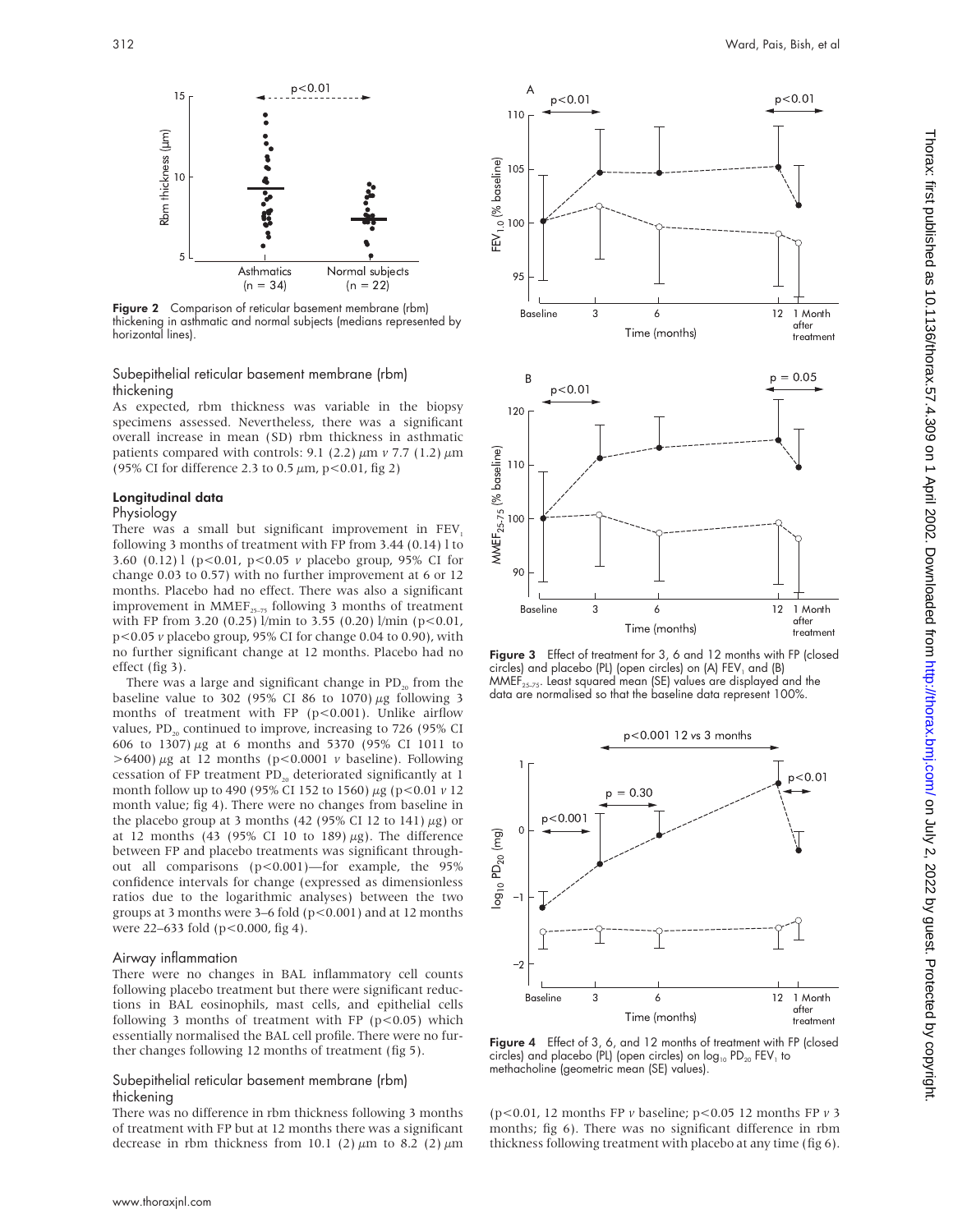

Figure 2 Comparison of reticular basement membrane (rbm) thickening in asthmatic and normal subjects (medians represented by horizontal lines).

Subepithelial reticular basement membrane (rbm) thickening

As expected, rbm thickness was variable in the biopsy specimens assessed. Nevertheless, there was a significant overall increase in mean (SD) rbm thickness in asthmatic patients compared with controls: 9.1 (2.2)  $\mu$ m *v* 7.7 (1.2)  $\mu$ m (95% CI for difference 2.3 to 0.5  $\mu$ m, p<0.01, fig 2)

#### Longitudinal data

#### Physiology

There was a small but significant improvement in  $FEV<sub>1</sub>$ following 3 months of treatment with FP from 3.44 (0.14) l to 3.60 (0.12) l (p<0.01, p<0.05 *v* placebo group, 95% CI for change 0.03 to 0.57) with no further improvement at 6 or 12 months. Placebo had no effect. There was also a significant improvement in  $MMEF_{25-75}$  following 3 months of treatment with FP from 3.20 (0.25) l/min to 3.55 (0.20) l/min (p<0.01, p<0.05 *v* placebo group, 95% CI for change 0.04 to 0.90), with no further significant change at 12 months. Placebo had no effect (fig 3).

There was a large and significant change in  $PD_{20}$  from the baseline value to 302 (95% CI 86 to 1070)  $\mu$ g following 3 months of treatment with FP ( $p < 0.001$ ). Unlike airflow values,  $PD_{20}$  continued to improve, increasing to 726 (95% CI 606 to 1307) µg at 6 months and 5370 (95% CI 1011 to  $>6400$ )  $\mu$ g at 12 months (p<0.0001  $\nu$  baseline). Following cessation of FP treatment  $PD_{20}$  deteriorated significantly at 1 month follow up to 490 (95% CI 152 to 1560) µg (p<0.01 *v* 12 month value; fig 4). There were no changes from baseline in the placebo group at 3 months (42 (95% CI 12 to 141)  $\mu$ g) or at 12 months (43 (95% CI 10 to 189)  $\mu$ g). The difference between FP and placebo treatments was significant throughout all comparisons (p<0.001)—for example, the 95% confidence intervals for change (expressed as dimensionless ratios due to the logarithmic analyses) between the two groups at 3 months were 3–6 fold (p<0.001) and at 12 months were 22–633 fold (p<0.000, fig 4).

## Airway inflammation

There were no changes in BAL inflammatory cell counts following placebo treatment but there were significant reductions in BAL eosinophils, mast cells, and epithelial cells following 3 months of treatment with FP ( $p$ <0.05) which essentially normalised the BAL cell profile. There were no further changes following 12 months of treatment (fig 5).

#### Subepithelial reticular basement membrane (rbm) thickening

There was no difference in rbm thickness following 3 months of treatment with FP but at 12 months there was a significant decrease in rbm thickness from 10.1 (2)  $\mu$ m to 8.2 (2)  $\mu$ m





Figure 3 Effect of treatment for 3, 6 and 12 months with FP (closed circles) and placebo (PL) (open circles) on (A)  $FEV<sub>1</sub>$  and (B)  $MMEF<sub>25–75</sub>$ . Least squared mean (SE) values are displayed and the data are normalised so that the baseline data represent 100%.



Figure 4 Effect of 3, 6, and 12 months of treatment with FP (closed circles) and placebo (PL) (open circles) on  $log_{10}$  PD<sub>20</sub> FEV<sub>1</sub> to methacholine (geometric mean (SE) values).

(p<0.01, 12 months FP *v* baseline; p<0.05 12 months FP *v* 3 months; fig 6). There was no significant difference in rbm thickness following treatment with placebo at any time (fig 6).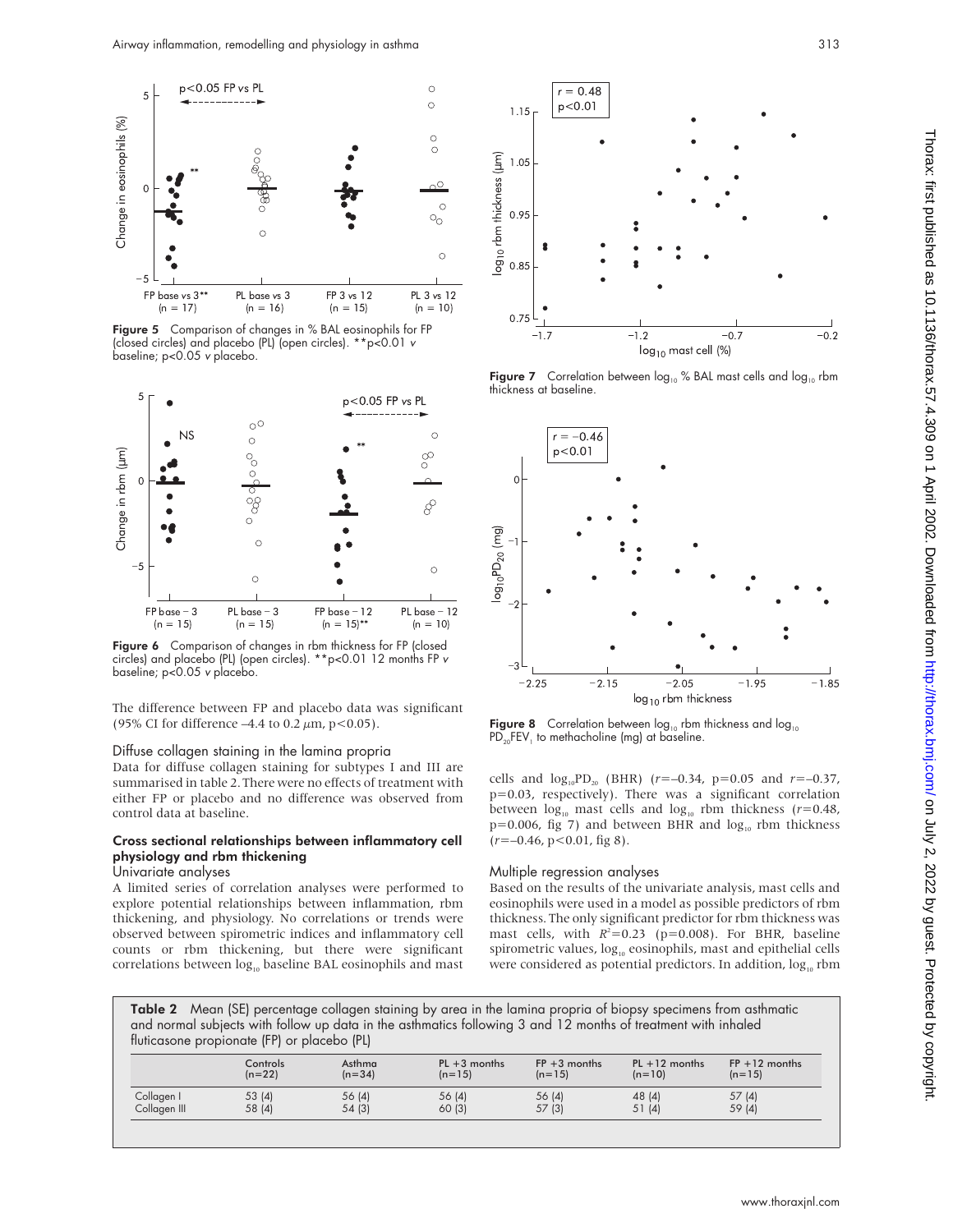

Figure 5 Comparison of changes in % BAL eosinophils for FP (closed circles) and placebo (PL) (open circles). \*\*p<0.01 <sup>v</sup> baseline; p<0.05 <sup>v</sup> placebo.



Figure 6 Comparison of changes in rbm thickness for FP (closed circles) and placebo (PL) (open circles). \*\*p<0.01 12 months FP <sup>v</sup> baseline; p<0.05 <sup>v</sup> placebo.

The difference between FP and placebo data was significant (95% CI for difference  $-4.4$  to 0.2  $\mu$ m, p<0.05).

# Diffuse collagen staining in the lamina propria

Data for diffuse collagen staining for subtypes I and III are summarised in table 2. There were no effects of treatment with either FP or placebo and no difference was observed from control data at baseline.

# Cross sectional relationships between inflammatory cell physiology and rbm thickening

# Univariate analyses

A limited series of correlation analyses were performed to explore potential relationships between inflammation, rbm thickening, and physiology. No correlations or trends were observed between spirometric indices and inflammatory cell counts or rbm thickening, but there were significant correlations between  $log_{10}$  baseline BAL eosinophils and mast



Figure 7 Correlation between  $log_{10}$  % BAL mast cells and  $log_{10}$  rbm thickness at baseline.



Figure 8 Correlation between  $log_{10}$  rbm thickness and  $log_{10}$  $PD_{20}FEV_1$  to methacholine (mg) at baseline.

cells and  $log_{10}PD_{20}$  (BHR) ( $r=-0.34$ ,  $p=0.05$  and  $r=-0.37$ , p=0.03, respectively). There was a significant correlation between  $\log_{10}$  mast cells and  $\log_{10}$  rbm thickness ( $r=0.48$ ,  $p=0.006$ , fig 7) and between BHR and  $log_{10}$  rbm thickness (*r*=–0.46, p<0.01, fig 8).

# Multiple regression analyses

Based on the results of the univariate analysis, mast cells and eosinophils were used in a model as possible predictors of rbm thickness. The only significant predictor for rbm thickness was mast cells, with  $R^2=0.23$  (p=0.008). For BHR, baseline spirometric values,  $log_{10}$  eosinophils, mast and epithelial cells were considered as potential predictors. In addition,  $\log_{10}$  rbm

Table 2 Mean (SE) percentage collagen staining by area in the lamina propria of biopsy specimens from asthmatic and normal subjects with follow up data in the asthmatics following 3 and 12 months of treatment with inhaled fluticasone propionate (FP) or placebo (PL)

|              | Controls | Asthma   | $PL + 3$ months | $FP + 3$ months | $PL + 12$ months | $FP + 12$ months |
|--------------|----------|----------|-----------------|-----------------|------------------|------------------|
|              | $(n=22)$ | $(n=34)$ | $(n=15)$        | $(n=15)$        | $(n=10)$         | $(n=15)$         |
| Collagen I   | 53(4)    | 56 (4)   | 56(4)           | 56 (4)          | 48 (4)           | 57(4)            |
| Collagen III | 58 (4)   | 54 (3)   | 60(3)           | 57(3)           | 51(4)            | 59 (4)           |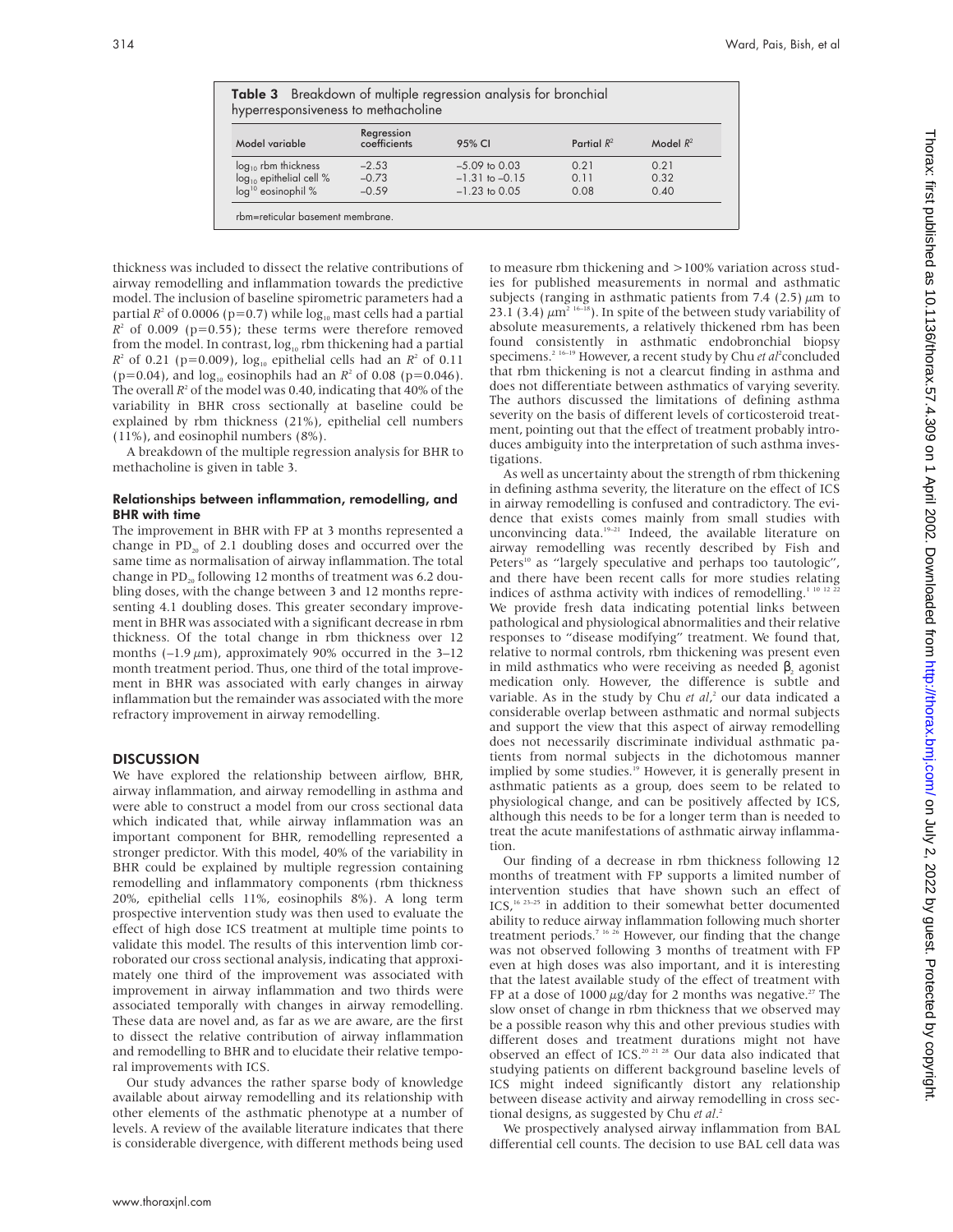|                                | Regression   |                    |               | Model $R^2$ |
|--------------------------------|--------------|--------------------|---------------|-------------|
| Model variable                 | coefficients | 95% CI             | Partial $R^2$ |             |
| $log_{10}$ rbm thickness       | $-2.53$      | $-5.09$ to 0.03    | 0.21          | 0.21        |
| $log_{10}$ epithelial cell %   | $-0.73$      | $-1.31$ to $-0.15$ | 011           | 0.32        |
| log <sup>10</sup> eosinophil % | $-0.59$      | $-1.23$ to 0.05    | 0.08          | 0.40        |

thickness was included to dissect the relative contributions of airway remodelling and inflammation towards the predictive model. The inclusion of baseline spirometric parameters had a partial  $R^2$  of 0.0006 (p=0.7) while  $\log_{10}$  mast cells had a partial  $R<sup>2</sup>$  of 0.009 (p=0.55); these terms were therefore removed from the model. In contrast,  $log_{10}$  rbm thickening had a partial  $R^2$  of 0.21 (p=0.009),  $log_{10}$  epithelial cells had an  $R^2$  of 0.11 (p=0.04), and  $\log_{10}$  eosinophils had an  $R^2$  of 0.08 (p=0.046). The overall  $R^2$  of the model was 0.40, indicating that 40% of the variability in BHR cross sectionally at baseline could be explained by rbm thickness (21%), epithelial cell numbers (11%), and eosinophil numbers (8%).

A breakdown of the multiple regression analysis for BHR to methacholine is given in table 3.

## Relationships between inflammation, remodelling, and BHR with time

The improvement in BHR with FP at 3 months represented a change in  $PD_{20}$  of 2.1 doubling doses and occurred over the same time as normalisation of airway inflammation. The total change in PD<sub>20</sub> following 12 months of treatment was 6.2 doubling doses, with the change between 3 and 12 months representing 4.1 doubling doses. This greater secondary improvement in BHR was associated with a significant decrease in rbm thickness. Of the total change in rbm thickness over 12 months  $(-1.9 \mu m)$ , approximately 90% occurred in the 3–12 month treatment period. Thus, one third of the total improvement in BHR was associated with early changes in airway inflammation but the remainder was associated with the more refractory improvement in airway remodelling.

# **DISCUSSION**

We have explored the relationship between airflow, BHR, airway inflammation, and airway remodelling in asthma and were able to construct a model from our cross sectional data which indicated that, while airway inflammation was an important component for BHR, remodelling represented a stronger predictor. With this model, 40% of the variability in BHR could be explained by multiple regression containing remodelling and inflammatory components (rbm thickness 20%, epithelial cells 11%, eosinophils 8%). A long term prospective intervention study was then used to evaluate the effect of high dose ICS treatment at multiple time points to validate this model. The results of this intervention limb corroborated our cross sectional analysis, indicating that approximately one third of the improvement was associated with improvement in airway inflammation and two thirds were associated temporally with changes in airway remodelling. These data are novel and, as far as we are aware, are the first to dissect the relative contribution of airway inflammation and remodelling to BHR and to elucidate their relative temporal improvements with ICS.

Our study advances the rather sparse body of knowledge available about airway remodelling and its relationship with other elements of the asthmatic phenotype at a number of levels. A review of the available literature indicates that there is considerable divergence, with different methods being used

to measure rbm thickening and >100% variation across studies for published measurements in normal and asthmatic subjects (ranging in asthmatic patients from 7.4 (2.5)  $\mu$ m to 23.1 (3.4)  $\mu$ m<sup>2 16–18</sup>). In spite of the between study variability of absolute measurements, a relatively thickened rbm has been found consistently in asthmatic endobronchial biopsy specimens.<sup>2</sup> <sup>16-19</sup> However, a recent study by Chu *et al*<sup>2</sup>concluded that rbm thickening is not a clearcut finding in asthma and does not differentiate between asthmatics of varying severity. The authors discussed the limitations of defining asthma severity on the basis of different levels of corticosteroid treatment, pointing out that the effect of treatment probably introduces ambiguity into the interpretation of such asthma investigations.

As well as uncertainty about the strength of rbm thickening in defining asthma severity, the literature on the effect of ICS in airway remodelling is confused and contradictory. The evidence that exists comes mainly from small studies with unconvincing data.<sup>19-21</sup> Indeed, the available literature on airway remodelling was recently described by Fish and Peters<sup>10</sup> as "largely speculative and perhaps too tautologic", and there have been recent calls for more studies relating indices of asthma activity with indices of remodelling.<sup>1 10 12</sup> We provide fresh data indicating potential links between pathological and physiological abnormalities and their relative responses to "disease modifying" treatment. We found that, relative to normal controls, rbm thickening was present even in mild asthmatics who were receiving as needed  $β$ , agonist medication only. However, the difference is subtle and variable. As in the study by Chu *et al*, <sup>2</sup> our data indicated a considerable overlap between asthmatic and normal subjects and support the view that this aspect of airway remodelling does not necessarily discriminate individual asthmatic patients from normal subjects in the dichotomous manner implied by some studies.<sup>19</sup> However, it is generally present in asthmatic patients as a group, does seem to be related to physiological change, and can be positively affected by ICS, although this needs to be for a longer term than is needed to treat the acute manifestations of asthmatic airway inflammation.

Our finding of a decrease in rbm thickness following 12 months of treatment with FP supports a limited number of intervention studies that have shown such an effect of ICS,<sup>16 23-25</sup> in addition to their somewhat better documented ability to reduce airway inflammation following much shorter treatment periods.<sup>7 16 26</sup> However, our finding that the change was not observed following 3 months of treatment with FP even at high doses was also important, and it is interesting that the latest available study of the effect of treatment with FP at a dose of 1000  $\mu$ g/day for 2 months was negative.<sup>27</sup> The slow onset of change in rbm thickness that we observed may be a possible reason why this and other previous studies with different doses and treatment durations might not have observed an effect of ICS.20 21 28 Our data also indicated that studying patients on different background baseline levels of ICS might indeed significantly distort any relationship between disease activity and airway remodelling in cross sectional designs, as suggested by Chu *et al*. 2

We prospectively analysed airway inflammation from BAL differential cell counts. The decision to use BAL cell data was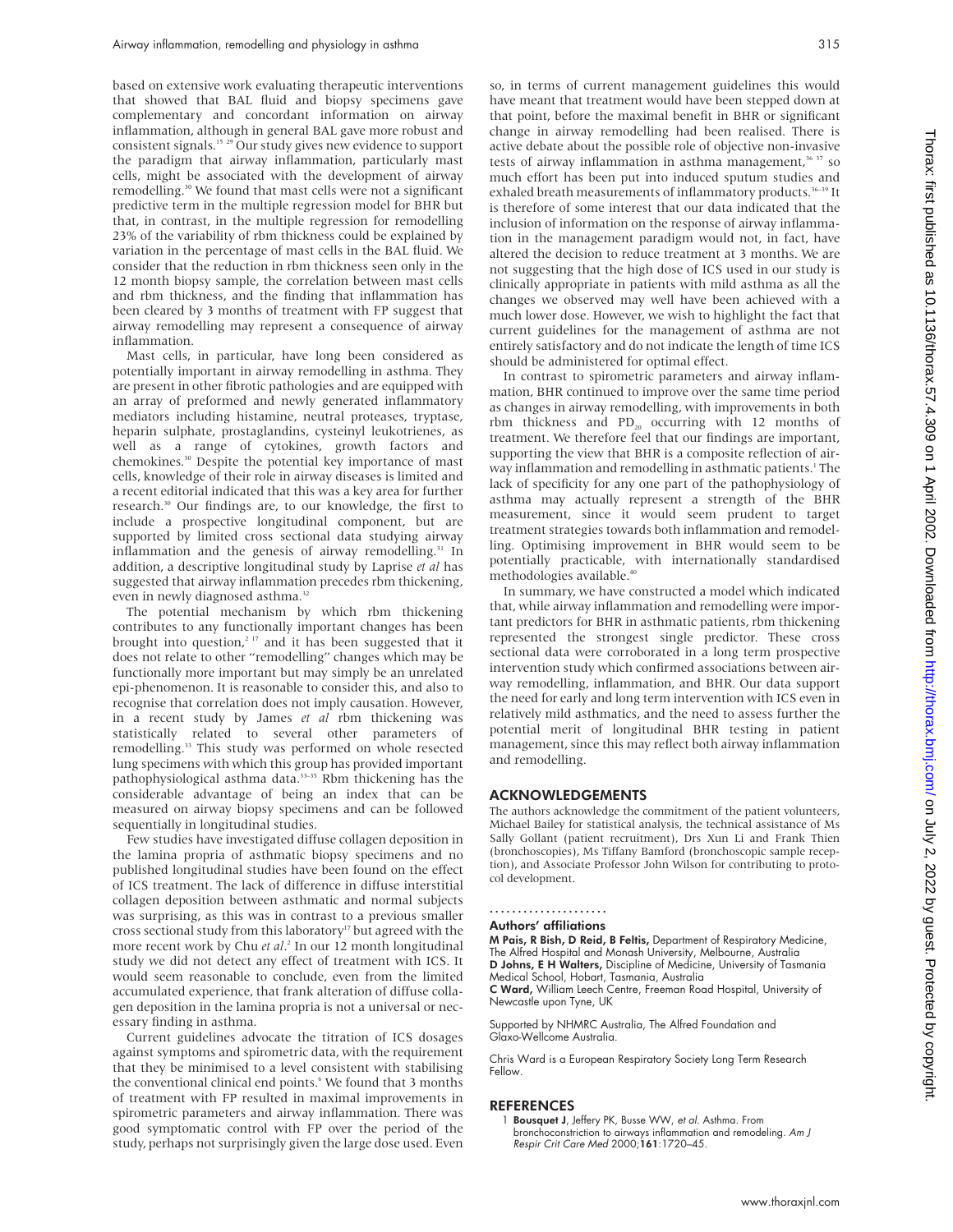based on extensive work evaluating therapeutic interventions that showed that BAL fluid and biopsy specimens gave complementary and concordant information on airway inflammation, although in general BAL gave more robust and consistent signals.15 29 Our study gives new evidence to support the paradigm that airway inflammation, particularly mast cells, might be associated with the development of airway remodelling.<sup>30</sup> We found that mast cells were not a significant predictive term in the multiple regression model for BHR but that, in contrast, in the multiple regression for remodelling 23% of the variability of rbm thickness could be explained by variation in the percentage of mast cells in the BAL fluid. We consider that the reduction in rbm thickness seen only in the 12 month biopsy sample, the correlation between mast cells and rbm thickness, and the finding that inflammation has been cleared by 3 months of treatment with FP suggest that airway remodelling may represent a consequence of airway inflammation.

Mast cells, in particular, have long been considered as potentially important in airway remodelling in asthma. They are present in other fibrotic pathologies and are equipped with an array of preformed and newly generated inflammatory mediators including histamine, neutral proteases, tryptase, heparin sulphate, prostaglandins, cysteinyl leukotrienes, as well as a range of cytokines, growth factors and chemokines.<sup>30</sup> Despite the potential key importance of mast cells, knowledge of their role in airway diseases is limited and a recent editorial indicated that this was a key area for further research.30 Our findings are, to our knowledge, the first to include a prospective longitudinal component, but are supported by limited cross sectional data studying airway inflammation and the genesis of airway remodelling. $31$  In addition, a descriptive longitudinal study by Laprise *et al* has suggested that airway inflammation precedes rbm thickening, even in newly diagnosed asthma.<sup>32</sup>

The potential mechanism by which rbm thickening contributes to any functionally important changes has been brought into question,<sup>2 17</sup> and it has been suggested that it does not relate to other "remodelling" changes which may be functionally more important but may simply be an unrelated epi-phenomenon. It is reasonable to consider this, and also to recognise that correlation does not imply causation. However, in a recent study by James *et al* rbm thickening was statistically related to several other parameters of remodelling.<sup>33</sup> This study was performed on whole resected lung specimens with which this group has provided important pathophysiological asthma data.33–35 Rbm thickening has the considerable advantage of being an index that can be measured on airway biopsy specimens and can be followed sequentially in longitudinal studies.

Few studies have investigated diffuse collagen deposition in the lamina propria of asthmatic biopsy specimens and no published longitudinal studies have been found on the effect of ICS treatment. The lack of difference in diffuse interstitial collagen deposition between asthmatic and normal subjects was surprising, as this was in contrast to a previous smaller cross sectional study from this laboratory<sup>17</sup> but agreed with the more recent work by Chu *et al*. <sup>2</sup> In our 12 month longitudinal study we did not detect any effect of treatment with ICS. It would seem reasonable to conclude, even from the limited accumulated experience, that frank alteration of diffuse collagen deposition in the lamina propria is not a universal or necessary finding in asthma.

Current guidelines advocate the titration of ICS dosages against symptoms and spirometric data, with the requirement that they be minimised to a level consistent with stabilising the conventional clinical end points.<sup>6</sup> We found that 3 months of treatment with FP resulted in maximal improvements in spirometric parameters and airway inflammation. There was good symptomatic control with FP over the period of the study, perhaps not surprisingly given the large dose used. Even so, in terms of current management guidelines this would have meant that treatment would have been stepped down at that point, before the maximal benefit in BHR or significant change in airway remodelling had been realised. There is active debate about the possible role of objective non-invasive tests of airway inflammation in asthma management,<sup>36 37</sup> so much effort has been put into induced sputum studies and exhaled breath measurements of inflammatory products.<sup>36–39</sup> It is therefore of some interest that our data indicated that the inclusion of information on the response of airway inflammation in the management paradigm would not, in fact, have altered the decision to reduce treatment at 3 months. We are not suggesting that the high dose of ICS used in our study is clinically appropriate in patients with mild asthma as all the changes we observed may well have been achieved with a much lower dose. However, we wish to highlight the fact that current guidelines for the management of asthma are not entirely satisfactory and do not indicate the length of time ICS should be administered for optimal effect.

In contrast to spirometric parameters and airway inflammation, BHR continued to improve over the same time period as changes in airway remodelling, with improvements in both rbm thickness and  $PD_{20}$  occurring with 12 months of treatment. We therefore feel that our findings are important, supporting the view that BHR is a composite reflection of airway inflammation and remodelling in asthmatic patients.<sup>1</sup> The lack of specificity for any one part of the pathophysiology of asthma may actually represent a strength of the BHR measurement, since it would seem prudent to target treatment strategies towards both inflammation and remodelling. Optimising improvement in BHR would seem to be potentially practicable, with internationally standardised methodologies available.<sup>40</sup>

In summary, we have constructed a model which indicated that, while airway inflammation and remodelling were important predictors for BHR in asthmatic patients, rbm thickening represented the strongest single predictor. These cross sectional data were corroborated in a long term prospective intervention study which confirmed associations between airway remodelling, inflammation, and BHR. Our data support the need for early and long term intervention with ICS even in relatively mild asthmatics, and the need to assess further the potential merit of longitudinal BHR testing in patient management, since this may reflect both airway inflammation and remodelling.

## ACKNOWLEDGEMENTS

The authors acknowledge the commitment of the patient volunteers, Michael Bailey for statistical analysis, the technical assistance of Ms Sally Gollant (patient recruitment), Drs Xun Li and Frank Thien (bronchoscopies), Ms Tiffany Bamford (bronchoscopic sample reception), and Associate Professor John Wilson for contributing to protocol development.

## .....................

## Authors' affiliations

M Pais, R Bish, D Reid, B Feltis, Department of Respiratory Medicine, The Alfred Hospital and Monash University, Melbourne, Australia D Johns, E H Walters, Discipline of Medicine, University of Tasmania Medical School, Hobart, Tasmania, Australia

C Ward, William Leech Centre, Freeman Road Hospital, University of Newcastle upon Tyne, UK

Supported by NHMRC Australia, The Alfred Foundation and Glaxo-Wellcome Australia.

Chris Ward is a European Respiratory Society Long Term Research Fellow.

#### REFERENCES

1 Bousquet J, Jeffery PK, Busse WW, et al. Asthma. From bronchoconstriction to airways inflammation and remodeling. Am J Respir Crit Care Med 2000;161:1720–45.